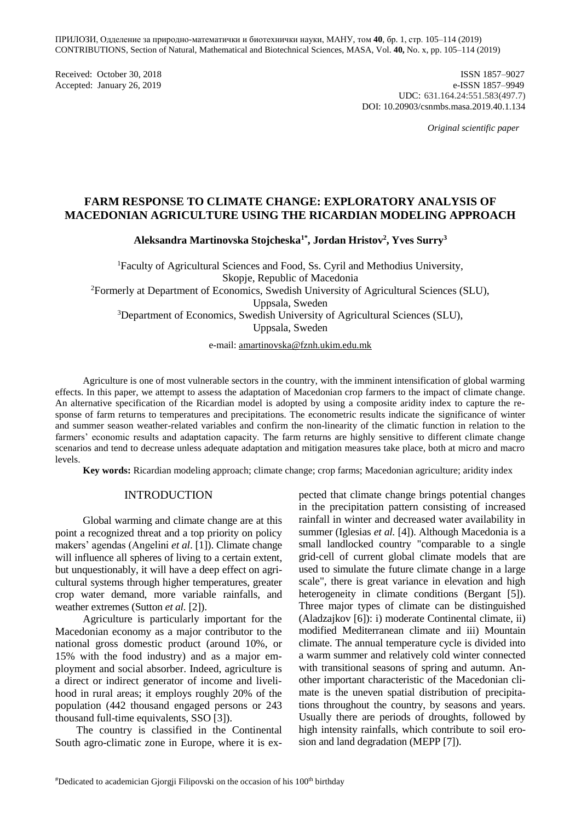ПРИЛОЗИ, Одделение за природно-математички и биотехнички науки, МАНУ, том **40**, бр. 1, стр. 105–114 (2019) CONTRIBUTIONS, Section of Natural, Mathematical and Biotechnical Sciences, MASA, Vol. **40,** No. х, pp. 105–114 (2019)

Received: October 30, 2018 ISSN 1857–9027 Accepted: January 26, 2019 e-ISSN 1857–9949 UDC: 631.164.24:551.583(497.7) DOI: 10.20903/csnmbs.masa.2019.40.1.134

 *Original scientific paper*

# **FARM RESPONSE TO CLIMATE CHANGE: EXPLORATORY ANALYSIS OF MACEDONIAN AGRICULTURE USING THE RICARDIAN MODELING APPROACH**

**Aleksandra Martinovska Stojcheska1\*, Jordan Hristov<sup>2</sup> , Yves Surry<sup>3</sup>**

<sup>1</sup>Faculty of Agricultural Sciences and Food, Ss. Cyril and Methodius University, Skopje, Republic of Macedonia <sup>2</sup>Formerly at Department of Economics, Swedish University of Agricultural Sciences (SLU), Uppsala, Sweden <sup>3</sup>Department of Economics, Swedish University of Agricultural Sciences (SLU), Uppsala, Sweden

e-mail: [amartinovska@fznh.ukim.edu.mk](mailto:amartinovska@fznh.ukim.edu.mk)

Agriculture is one of most vulnerable sectors in the country, with the imminent intensification of global warming effects. In this paper, we attempt to assess the adaptation of Macedonian crop farmers to the impact of climate change. An alternative specification of the Ricardian model is adopted by using a composite aridity index to capture the response of farm returns to temperatures and precipitations. The econometric results indicate the significance of winter and summer season weather-related variables and confirm the non-linearity of the climatic function in relation to the farmers' economic results and adaptation capacity. The farm returns are highly sensitive to different climate change scenarios and tend to decrease unless adequate adaptation and mitigation measures take place, both at micro and macro levels.

**Key words:** Ricardian modeling approach; climate change; crop farms; Macedonian agriculture; aridity index

#### INTRODUCTION

Global warming and climate change are at this point a recognized threat and a top priority on policy makers' agendas (Angelini *et al*. [1]). Climate change will influence all spheres of living to a certain extent, but unquestionably, it will have a deep effect on agricultural systems through higher temperatures, greater crop water demand, more variable rainfalls, and weather extremes (Sutton *et al.* [2]).

Agriculture is particularly important for the Macedonian economy as a major contributor to the national gross domestic product (around 10%, or 15% with the food industry) and as a major employment and social absorber. Indeed, agriculture is a direct or indirect generator of income and livelihood in rural areas; it employs roughly 20% of the population (442 thousand engaged persons or 243 thousand full-time equivalents, SSO [3]).

The country is classified in the Continental South agro-climatic zone in Europe, where it is expected that climate change brings potential changes in the precipitation pattern consisting of increased rainfall in winter and decreased water availability in summer (Iglesias *et al.* [4]). Although Macedonia is a small landlocked country "comparable to a single grid‐cell of current global climate models that are used to simulate the future climate change in a large scale", there is great variance in elevation and high heterogeneity in climate conditions (Bergant [5]). Three major types of climate can be distinguished (Aladzajkov [6]): i) moderate Continental climate, ii) modified Mediterranean climate and iii) Mountain climate. The annual temperature cycle is divided into a warm summer and relatively cold winter connected with transitional seasons of spring and autumn. Another important characteristic of the Macedonian climate is the uneven spatial distribution of precipitations throughout the country, by seasons and years. Usually there are periods of droughts, followed by high intensity rainfalls, which contribute to soil erosion and land degradation (MEPP [7]).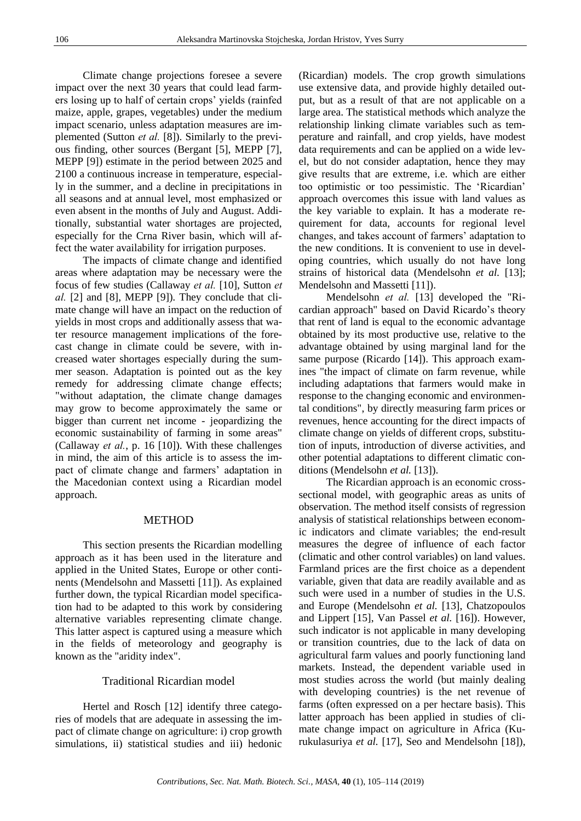Climate change projections foresee a severe impact over the next 30 years that could lead farmers losing up to half of certain crops' yields (rainfed maize, apple, grapes, vegetables) under the medium impact scenario, unless adaptation measures are implemented (Sutton *et al.* [8]). Similarly to the previous finding, other sources (Bergant [5], MEPP [7], MEPP [9]) estimate in the period between 2025 and 2100 a continuous increase in temperature, especially in the summer, and a decline in precipitations in all seasons and at annual level, most emphasized or even absent in the months of July and August. Additionally, substantial water shortages are projected, especially for the Crna River basin, which will affect the water availability for irrigation purposes.

The impacts of climate change and identified areas where adaptation may be necessary were the focus of few studies (Callaway *et al.* [10], Sutton *et al.* [2] and [8], MEPP [9]). They conclude that climate change will have an impact on the reduction of yields in most crops and additionally assess that water resource management implications of the forecast change in climate could be severe, with increased water shortages especially during the summer season. Adaptation is pointed out as the key remedy for addressing climate change effects; "without adaptation, the climate change damages may grow to become approximately the same or bigger than current net income - jeopardizing the economic sustainability of farming in some areas" (Callaway *et al.*, p. 16 [10]). With these challenges in mind, the aim of this article is to assess the impact of climate change and farmers' adaptation in the Macedonian context using a Ricardian model approach.

#### **METHOD**

This section presents the Ricardian modelling approach as it has been used in the literature and applied in the United States, Europe or other continents (Mendelsohn and Massetti [11]). As explained further down, the typical Ricardian model specification had to be adapted to this work by considering alternative variables representing climate change. This latter aspect is captured using a measure which in the fields of meteorology and geography is known as the "aridity index".

### Traditional Ricardian model

Hertel and Rosch [12] identify three categories of models that are adequate in assessing the impact of climate change on agriculture: i) crop growth simulations, ii) statistical studies and iii) hedonic

(Ricardian) models. The crop growth simulations use extensive data, and provide highly detailed output, but as a result of that are not applicable on a large area. The statistical methods which analyze the relationship linking climate variables such as temperature and rainfall, and crop yields, have modest data requirements and can be applied on a wide level, but do not consider adaptation, hence they may give results that are extreme, i.e. which are either too optimistic or too pessimistic. The 'Ricardian' approach overcomes this issue with land values as the key variable to explain. It has a moderate requirement for data, accounts for regional level changes, and takes account of farmers' adaptation to the new conditions. It is convenient to use in developing countries, which usually do not have long strains of historical data (Mendelsohn *et al.* [13]; Mendelsohn and Massetti [11]).

Mendelsohn *et al.* [13] developed the "Ricardian approach" based on David Ricardo's theory that rent of land is equal to the economic advantage obtained by its most productive use, relative to the advantage obtained by using marginal land for the same purpose (Ricardo [14]). This approach examines "the impact of climate on farm revenue, while including adaptations that farmers would make in response to the changing economic and environmental conditions", by directly measuring farm prices or revenues, hence accounting for the direct impacts of climate change on yields of different crops, substitution of inputs, introduction of diverse activities, and other potential adaptations to different climatic conditions (Mendelsohn *et al.* [13]).

The Ricardian approach is an economic crosssectional model, with geographic areas as units of observation. The method itself consists of regression analysis of statistical relationships between economic indicators and climate variables; the end-result measures the degree of influence of each factor (climatic and other control variables) on land values. Farmland prices are the first choice as a dependent variable, given that data are readily available and as such were used in a number of studies in the U.S. and Europe (Mendelsohn *et al.* [13], Chatzopoulos and Lippert [15], Van Passel *et al.* [16]). However, such indicator is not applicable in many developing or transition countries, due to the lack of data on agricultural farm values and poorly functioning land markets. Instead, the dependent variable used in most studies across the world (but mainly dealing with developing countries) is the net revenue of farms (often expressed on a per hectare basis). This latter approach has been applied in studies of climate change impact on agriculture in Africa (Kurukulasuriya *et al.* [17], Seo and Mendelsohn [18]),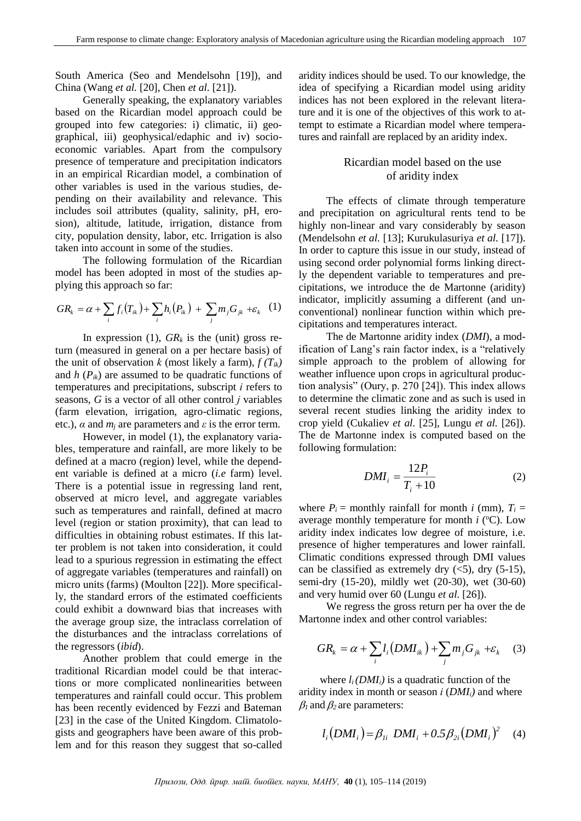South America (Seo and Mendelsohn [19]), and China (Wang *et al.* [20], Chen *et al.* [21]).

Generally speaking, the explanatory variables based on the Ricardian model approach could be grouped into few categories: i) climatic, ii) geographical, iii) geophysical/edaphic and iv) socioeconomic variables. Apart from the compulsory presence of temperature and precipitation indicators in an empirical Ricardian model, a combination of other variables is used in the various studies, depending on their availability and relevance. This includes soil attributes (quality, salinity, pH, erosion), altitude, latitude, irrigation, distance from city, population density, labor, etc. Irrigation is also taken into account in some of the studies.

The following formulation of the Ricardian model has been adopted in most of the studies applying this approach so far:

$$
GR_k = \alpha + \sum_i f_i(T_{ik}) + \sum_i h_i(P_{ik}) + \sum_j m_j G_{jk} + \varepsilon_k \quad (1)
$$

In expression (1),  $GR_k$  is the (unit) gross return (measured in general on a per hectare basis) of the unit of observation *k* (most likely a farm),  $f(T_{ik})$ and  $h(P_{ik})$  are assumed to be quadratic functions of temperatures and precipitations, subscript *i* refers to seasons, *G* is a vector of all other control *j* variables (farm elevation, irrigation, agro-climatic regions, etc.),  $\alpha$  and  $m_i$  are parameters and  $\varepsilon$  is the error term.

However, in model (1), the explanatory variables, temperature and rainfall, are more likely to be defined at a macro (region) level, while the dependent variable is defined at a micro (*i.e* farm) level. There is a potential issue in regressing land rent, observed at micro level, and aggregate variables such as temperatures and rainfall, defined at macro level (region or station proximity), that can lead to difficulties in obtaining robust estimates. If this latter problem is not taken into consideration, it could lead to a spurious regression in estimating the effect of aggregate variables (temperatures and rainfall) on micro units (farms) (Moulton [22]). More specifically, the standard errors of the estimated coefficients could exhibit a downward bias that increases with the average group size, the intraclass correlation of the disturbances and the intraclass correlations of the regressors (*ibid*).

Another problem that could emerge in the traditional Ricardian model could be that interactions or more complicated nonlinearities between temperatures and rainfall could occur. This problem has been recently evidenced by Fezzi and Bateman [23] in the case of the United Kingdom. Climatologists and geographers have been aware of this problem and for this reason they suggest that so-called aridity indices should be used. To our knowledge, the idea of specifying a Ricardian model using aridity indices has not been explored in the relevant literature and it is one of the objectives of this work to attempt to estimate a Ricardian model where temperatures and rainfall are replaced by an aridity index.

# Ricardian model based on the use of aridity index

The effects of climate through temperature and precipitation on agricultural rents tend to be highly non-linear and vary considerably by season (Mendelsohn *et al.* [13]; Kurukulasuriya *et al.* [17]). In order to capture this issue in our study, instead of using second order polynomial forms linking directly the dependent variable to temperatures and precipitations, we introduce the de Martonne (aridity) indicator, implicitly assuming a different (and unconventional) nonlinear function within which precipitations and temperatures interact.

The de Martonne aridity index (*DMI*), a modification of Lang's rain factor index, is a "relatively simple approach to the problem of allowing for weather influence upon crops in agricultural production analysis" (Oury, p. 270 [24]). This index allows to determine the climatic zone and as such is used in several recent studies linking the aridity index to crop yield (Cukaliev *et al.* [25], Lungu *et al.* [26]). The de Martonne index is computed based on the following formulation:

$$
DMI_i = \frac{12P_i}{T_i + 10} \tag{2}
$$

where  $P_i$  = monthly rainfall for month *i* (mm),  $T_i$  = average monthly temperature for month  $i$  ( $\rm ^{o}C$ ). Low aridity index indicates low degree of moisture, i.e. presence of higher temperatures and lower rainfall. Climatic conditions expressed through DMI values can be classified as extremely dry  $(<5)$ , dry  $(5-15)$ , semi-dry (15-20), mildly wet (20-30), wet (30-60) and very humid over 60 (Lungu *et al.* [26]).

We regress the gross return per ha over the de Martonne index and other control variables:

$$
GR_k = \alpha + \sum_i l_i \left( DMl_{ik} \right) + \sum_j m_j G_{jk} + \varepsilon_k \quad (3)
$$

where  $l_i$  *(DMI<sub>i</sub>*) is a quadratic function of the aridity index in month or season *i* (*DMIi)* and where  $\beta_1$  and  $\beta_2$  are parameters:

$$
l_i(DMI_i) = \beta_{1i} \; DMI_i + 0.5 \beta_{2i} (DMI_i)^2 \quad (4)
$$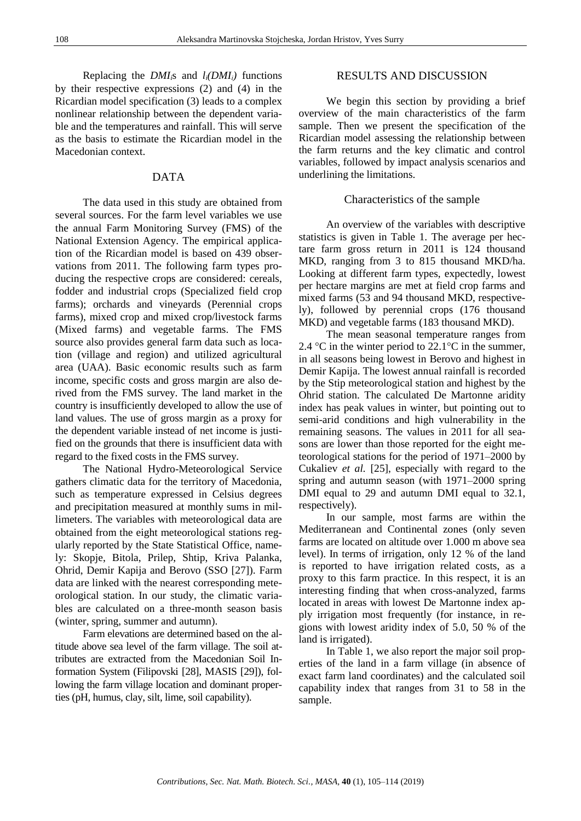Replacing the *DMI*<sup>*i*</sup>s and  $l_i(DMI_i)$  functions by their respective expressions (2) and (4) in the Ricardian model specification (3) leads to a complex nonlinear relationship between the dependent variable and the temperatures and rainfall. This will serve as the basis to estimate the Ricardian model in the Macedonian context.

## DATA

The data used in this study are obtained from several sources. For the farm level variables we use the annual Farm Monitoring Survey (FMS) of the National Extension Agency. The empirical application of the Ricardian model is based on 439 observations from 2011. The following farm types producing the respective crops are considered: cereals, fodder and industrial crops (Specialized field crop farms); orchards and vineyards (Perennial crops farms), mixed crop and mixed crop/livestock farms (Mixed farms) and vegetable farms. The FMS source also provides general farm data such as location (village and region) and utilized agricultural area (UAA). Basic economic results such as farm income, specific costs and gross margin are also derived from the FMS survey. The land market in the country is insufficiently developed to allow the use of land values. The use of gross margin as a proxy for the dependent variable instead of net income is justified on the grounds that there is insufficient data with regard to the fixed costs in the FMS survey.

The National Hydro-Meteorological Service gathers climatic data for the territory of Macedonia, such as temperature expressed in Celsius degrees and precipitation measured at monthly sums in millimeters. The variables with meteorological data are obtained from the eight meteorological stations regularly reported by the State Statistical Office, namely: Skopje, Bitola, Prilep, Shtip, Kriva Palanka, Ohrid, Demir Kapija and Berovo (SSO [27]). Farm data are linked with the nearest corresponding meteorological station. In our study, the climatic variables are calculated on a three-month season basis (winter, spring, summer and autumn).

Farm elevations are determined based on the altitude above sea level of the farm village. The soil attributes are extracted from the Macedonian Soil Information System (Filipovski [28], MASIS [29]), following the farm village location and dominant properties (pH, humus, clay, silt, lime, soil capability).

## RESULTS AND DISCUSSION

We begin this section by providing a brief overview of the main characteristics of the farm sample. Then we present the specification of the Ricardian model assessing the relationship between the farm returns and the key climatic and control variables, followed by impact analysis scenarios and underlining the limitations.

#### Characteristics of the sample

An overview of the variables with descriptive statistics is given in Table 1. The average per hectare farm gross return in 2011 is 124 thousand MKD, ranging from 3 to 815 thousand MKD/ha. Looking at different farm types, expectedly, lowest per hectare margins are met at field crop farms and mixed farms (53 and 94 thousand MKD, respectively), followed by perennial crops (176 thousand MKD) and vegetable farms (183 thousand MKD).

The mean seasonal temperature ranges from 2.4 °C in the winter period to 22.1°C in the summer, in all seasons being lowest in Berovo and highest in Demir Kapija. The lowest annual rainfall is recorded by the Stip meteorological station and highest by the Ohrid station. The calculated De Martonne aridity index has peak values in winter, but pointing out to semi-arid conditions and high vulnerability in the remaining seasons. The values in 2011 for all seasons are lower than those reported for the eight meteorological stations for the period of 1971–2000 by Cukaliev *et al.* [25], especially with regard to the spring and autumn season (with 1971–2000 spring DMI equal to 29 and autumn DMI equal to 32.1, respectively).

In our sample, most farms are within the Mediterranean and Continental zones (only seven farms are located on altitude over 1.000 m above sea level). In terms of irrigation, only 12 % of the land is reported to have irrigation related costs, as a proxy to this farm practice. In this respect, it is an interesting finding that when cross-analyzed, farms located in areas with lowest De Martonne index apply irrigation most frequently (for instance, in regions with lowest aridity index of 5.0, 50 % of the land is irrigated).

In Table 1, we also report the major soil properties of the land in a farm village (in absence of exact farm land coordinates) and the calculated soil capability index that ranges from 31 to 58 in the sample.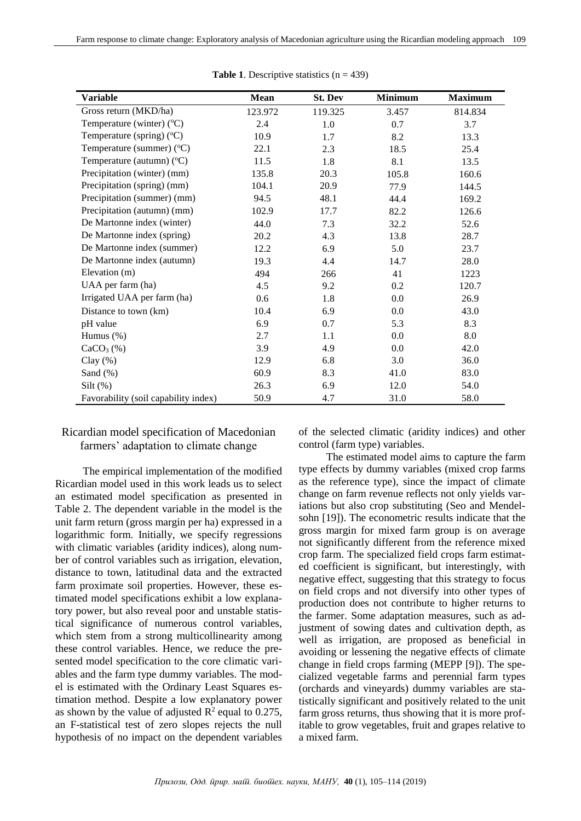| <b>Variable</b>                      | Mean    | St. Dev | <b>Minimum</b> | <b>Maximum</b> |
|--------------------------------------|---------|---------|----------------|----------------|
| Gross return (MKD/ha)                | 123.972 | 119.325 | 3.457          | 814.834        |
| Temperature (winter) $(^{\circ}C)$   | 2.4     | 1.0     | 0.7            | 3.7            |
| Temperature (spring) $(^{\circ}C)$   | 10.9    | 1.7     | 8.2            | 13.3           |
| Temperature (summer) (°C)            | 22.1    | 2.3     | 18.5           | 25.4           |
| Temperature (autumn) $(^{\circ}C)$   | 11.5    | 1.8     | 8.1            | 13.5           |
| Precipitation (winter) (mm)          | 135.8   | 20.3    | 105.8          | 160.6          |
| Precipitation (spring) (mm)          | 104.1   | 20.9    | 77.9           | 144.5          |
| Precipitation (summer) (mm)          | 94.5    | 48.1    | 44.4           | 169.2          |
| Precipitation (autumn) (mm)          | 102.9   | 17.7    | 82.2           | 126.6          |
| De Martonne index (winter)           | 44.0    | 7.3     | 32.2           | 52.6           |
| De Martonne index (spring)           | 20.2    | 4.3     | 13.8           | 28.7           |
| De Martonne index (summer)           | 12.2    | 6.9     | 5.0            | 23.7           |
| De Martonne index (autumn)           | 19.3    | 4.4     | 14.7           | 28.0           |
| Elevation (m)                        | 494     | 266     | 41             | 1223           |
| UAA per farm (ha)                    | 4.5     | 9.2     | 0.2            | 120.7          |
| Irrigated UAA per farm (ha)          | 0.6     | 1.8     | 0.0            | 26.9           |
| Distance to town (km)                | 10.4    | 6.9     | 0.0            | 43.0           |
| pH value                             | 6.9     | 0.7     | 5.3            | 8.3            |
| Humus $(\%)$                         | 2.7     | 1.1     | 0.0            | 8.0            |
| $CaCO3(\%)$                          | 3.9     | 4.9     | 0.0            | 42.0           |
| Clay $(\%)$                          | 12.9    | 6.8     | 3.0            | 36.0           |
| Sand $(\%)$                          | 60.9    | 8.3     | 41.0           | 83.0           |
| $Silt$ (%)                           | 26.3    | 6.9     | 12.0           | 54.0           |
| Favorability (soil capability index) | 50.9    | 4.7     | 31.0           | 58.0           |

**Table 1.** Descriptive statistics  $(n = 439)$ 

# Ricardian model specification of Macedonian farmers' adaptation to climate change

The empirical implementation of the modified Ricardian model used in this work leads us to select an estimated model specification as presented in Table 2. The dependent variable in the model is the unit farm return (gross margin per ha) expressed in a logarithmic form. Initially, we specify regressions with climatic variables (aridity indices), along number of control variables such as irrigation, elevation, distance to town, latitudinal data and the extracted farm proximate soil properties. However, these estimated model specifications exhibit a low explanatory power, but also reveal poor and unstable statistical significance of numerous control variables, which stem from a strong multicollinearity among these control variables. Hence, we reduce the presented model specification to the core climatic variables and the farm type dummy variables. The model is estimated with the Ordinary Least Squares estimation method. Despite a low explanatory power as shown by the value of adjusted  $\mathbb{R}^2$  equal to 0.275, an F-statistical test of zero slopes rejects the null hypothesis of no impact on the dependent variables

of the selected climatic (aridity indices) and other control (farm type) variables.

The estimated model aims to capture the farm type effects by dummy variables (mixed crop farms as the reference type), since the impact of climate change on farm revenue reflects not only yields variations but also crop substituting (Seo and Mendelsohn [19]). The econometric results indicate that the gross margin for mixed farm group is on average not significantly different from the reference mixed crop farm. The specialized field crops farm estimated coefficient is significant, but interestingly, with negative effect, suggesting that this strategy to focus on field crops and not diversify into other types of production does not contribute to higher returns to the farmer. Some adaptation measures, such as adjustment of sowing dates and cultivation depth, as well as irrigation, are proposed as beneficial in avoiding or lessening the negative effects of climate change in field crops farming (MEPP [9]). The specialized vegetable farms and perennial farm types (orchards and vineyards) dummy variables are statistically significant and positively related to the unit farm gross returns, thus showing that it is more profitable to grow vegetables, fruit and grapes relative to a mixed farm.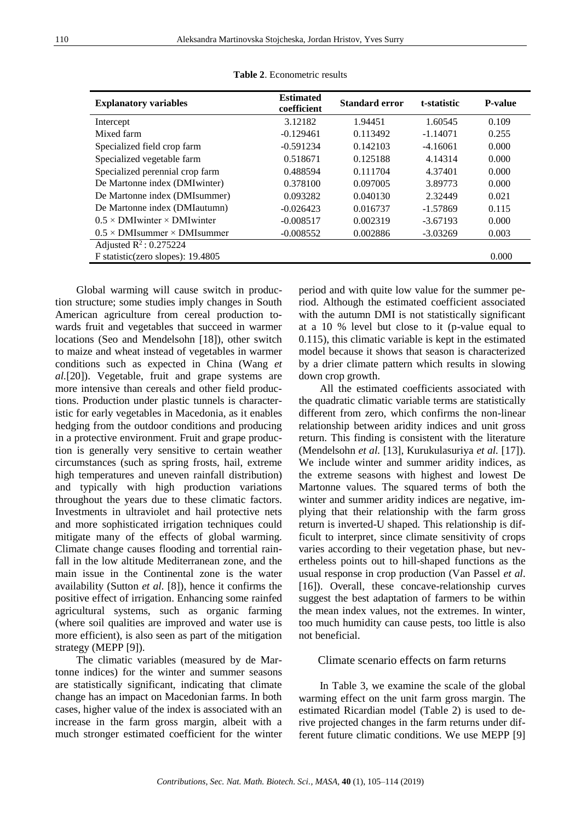| <b>Explanatory variables</b>                | <b>Estimated</b><br>coefficient | <b>Standard error</b> | t-statistic | <b>P-value</b> |  |
|---------------------------------------------|---------------------------------|-----------------------|-------------|----------------|--|
| Intercept                                   | 3.12182                         | 1.94451               | 1.60545     | 0.109          |  |
| Mixed farm                                  | $-0.129461$                     | 0.113492              | $-1.14071$  | 0.255          |  |
| Specialized field crop farm                 | $-0.591234$                     | 0.142103              | $-4.16061$  | 0.000          |  |
| Specialized vegetable farm                  | 0.518671                        | 0.125188              | 4.14314     | 0.000          |  |
| Specialized perennial crop farm             | 0.488594                        | 0.111704              | 4.37401     | 0.000          |  |
| De Martonne index (DMIwinter)               | 0.378100                        | 0.097005              | 3.89773     | 0.000          |  |
| De Martonne index (DMIsummer)               | 0.093282                        | 0.040130              | 2.32449     | 0.021          |  |
| De Martonne index (DMIautumn)               | $-0.026423$                     | 0.016737              | $-1.57869$  | 0.115          |  |
| $0.5 \times$ DMI winter $\times$ DMI winter | $-0.008517$                     | 0.002319              | $-3.67193$  | 0.000          |  |
| $0.5 \times$ DMIsummer $\times$ DMIsummer   | $-0.008552$                     | 0.002886              | $-3.03269$  | 0.003          |  |
| Adjusted $R^2$ : 0.275224                   |                                 |                       |             |                |  |
| F statistic(zero slopes): 19.4805           |                                 |                       |             | 0.000          |  |
|                                             |                                 |                       |             |                |  |

**Table 2**. Econometric results

Global warming will cause switch in production structure; some studies imply changes in South American agriculture from cereal production towards fruit and vegetables that succeed in warmer locations (Seo and Mendelsohn [18]), other switch to maize and wheat instead of vegetables in warmer conditions such as expected in China (Wang *et al.*[20]). Vegetable, fruit and grape systems are more intensive than cereals and other field productions. Production under plastic tunnels is characteristic for early vegetables in Macedonia, as it enables hedging from the outdoor conditions and producing in a protective environment. Fruit and grape production is generally very sensitive to certain weather circumstances (such as spring frosts, hail, extreme high temperatures and uneven rainfall distribution) and typically with high production variations throughout the years due to these climatic factors. Investments in ultraviolet and hail protective nets and more sophisticated irrigation techniques could mitigate many of the effects of global warming. Climate change causes flooding and torrential rainfall in the low altitude Mediterranean zone, and the main issue in the Continental zone is the water availability (Sutton *et al.* [8]), hence it confirms the positive effect of irrigation. Enhancing some rainfed agricultural systems, such as organic farming (where soil qualities are improved and water use is more efficient), is also seen as part of the mitigation strategy (MEPP [9]).

The climatic variables (measured by de Martonne indices) for the winter and summer seasons are statistically significant, indicating that climate change has an impact on Macedonian farms. In both cases, higher value of the index is associated with an increase in the farm gross margin, albeit with a much stronger estimated coefficient for the winter period and with quite low value for the summer period. Although the estimated coefficient associated with the autumn DMI is not statistically significant at a 10 % level but close to it (p-value equal to 0.115), this climatic variable is kept in the estimated model because it shows that season is characterized by a drier climate pattern which results in slowing down crop growth.

All the estimated coefficients associated with the quadratic climatic variable terms are statistically different from zero, which confirms the non-linear relationship between aridity indices and unit gross return. This finding is consistent with the literature (Mendelsohn *et al.* [13], Kurukulasuriya *et al.* [17]). We include winter and summer aridity indices, as the extreme seasons with highest and lowest De Martonne values. The squared terms of both the winter and summer aridity indices are negative, implying that their relationship with the farm gross return is inverted-U shaped. This relationship is difficult to interpret, since climate sensitivity of crops varies according to their vegetation phase, but nevertheless points out to hill-shaped functions as the usual response in crop production (Van Passel *et al*. [16]). Overall, these concave-relationship curves suggest the best adaptation of farmers to be within the mean index values, not the extremes. In winter, too much humidity can cause pests, too little is also not beneficial.

## Climate scenario effects on farm returns

In Table 3, we examine the scale of the global warming effect on the unit farm gross margin. The estimated Ricardian model (Table 2) is used to derive projected changes in the farm returns under different future climatic conditions. We use MEPP [9]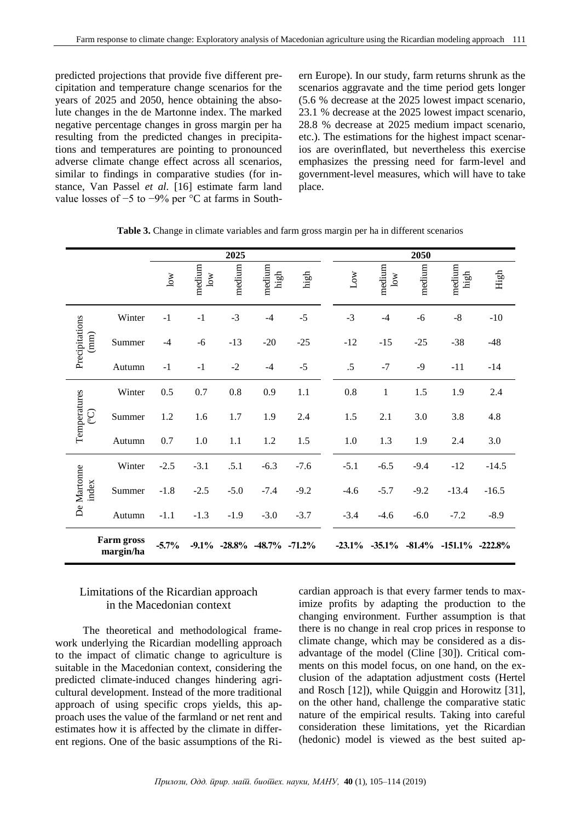predicted projections that provide five different precipitation and temperature change scenarios for the years of 2025 and 2050, hence obtaining the absolute changes in the de Martonne index. The marked negative percentage changes in gross margin per ha resulting from the predicted changes in precipitations and temperatures are pointing to pronounced adverse climate change effect across all scenarios, similar to findings in comparative studies (for instance, Van Passel *et al.* [16] estimate farm land value losses of −5 to −9% per °C at farms in Southern Europe). In our study, farm returns shrunk as the scenarios aggravate and the time period gets longer (5.6 % decrease at the 2025 lowest impact scenario, 23.1 % decrease at the 2025 lowest impact scenario, 28.8 % decrease at 2025 medium impact scenario, etc.). The estimations for the highest impact scenarios are overinflated, but nevertheless this exercise emphasizes the pressing need for farm-level and government-level measures, which will have to take place.

|                          |                                | 2025         |                        |        |                                        |              | 2050 |              |                  |          |                     |         |
|--------------------------|--------------------------------|--------------|------------------------|--------|----------------------------------------|--------------|------|--------------|------------------|----------|---------------------|---------|
|                          |                                | $_{\rm low}$ | medium<br>$_{\rm low}$ | medium | medium<br>high                         | ${\rm high}$ |      | $_{\rm Low}$ | medium<br>$\log$ | medium   | medium<br>high      | High    |
| Precipitations<br>(mm)   | Winter                         | $-1$         | $-1$                   | $-3$   | $-4$                                   | $-5$         |      | $-3$         | $-4$             | -6       | $-8$                | $-10$   |
|                          | Summer                         | $-4$         | $-6$                   | $-13$  | $-20$                                  | $-25$        | $-5$ | $-12$        | $-15$            | $-25$    | $-38$               | $-48$   |
|                          | Autumn                         | $-1$         | $-1$                   | $-2$   | $-4$                                   |              |      | $.5\,$       | $-7$             | $-9$     | $-11$               | $-14$   |
| Temperatures<br><u>୍</u> | Winter                         | 0.5          | 0.7                    | 0.8    | 0.9                                    | 1.1          |      | $0.8\,$      | $\,1$            | 1.5      | 1.9                 | 2.4     |
|                          | Summer                         | 1.2          | 1.6                    | 1.7    | 1.9                                    | 2.4          |      | 1.5          | 2.1              | 3.0      | 3.8                 | 4.8     |
|                          | Autumn                         | 0.7          | 1.0                    | 1.1    | 1.2                                    | 1.5          |      | 1.0          | 1.3              | 1.9      | 2.4                 | 3.0     |
| De Martonne<br>index     | Winter                         | $-2.5$       | $-3.1$                 | .5.1   | $-6.3$                                 | $-7.6$       |      | $-5.1$       | $-6.5$           | $-9.4$   | $-12$               | $-14.5$ |
|                          | Summer                         | $-1.8$       | $-2.5$                 | $-5.0$ | $-7.4$                                 | $-9.2$       |      | $-4.6$       | $-5.7$           | $-9.2$   | $-13.4$             | $-16.5$ |
|                          | Autumn                         | $-1.1$       | $-1.3$                 | $-1.9$ | $-3.0$                                 | $-3.7$       |      | $-3.4$       | $-4.6$           | $-6.0$   | $-7.2$              | $-8.9$  |
|                          | <b>Farm gross</b><br>margin/ha | $-5.7%$      |                        |        | $-9.1\%$ $-28.8\%$ $-48.7\%$ $-71.2\%$ |              |      | $-23.1\%$    | $-35.1\%$        | $-81.4%$ | $-151.1\% -222.8\%$ |         |

**Table 3.** Change in climate variables and farm gross margin per ha in different scenarios

# Limitations of the Ricardian approach in the Macedonian context

The theoretical and methodological framework underlying the Ricardian modelling approach to the impact of climatic change to agriculture is suitable in the Macedonian context, considering the predicted climate-induced changes hindering agricultural development. Instead of the more traditional approach of using specific crops yields, this approach uses the value of the farmland or net rent and estimates how it is affected by the climate in different regions. One of the basic assumptions of the Ricardian approach is that every farmer tends to maximize profits by adapting the production to the changing environment. Further assumption is that there is no change in real crop prices in response to climate change, which may be considered as a disadvantage of the model (Cline [30]). Critical comments on this model focus, on one hand, on the exclusion of the adaptation adjustment costs (Hertel and Rosch [12]), while Quiggin and Horowitz [31], on the other hand, challenge the comparative static nature of the empirical results. Taking into careful consideration these limitations, yet the Ricardian (hedonic) model is viewed as the best suited ap-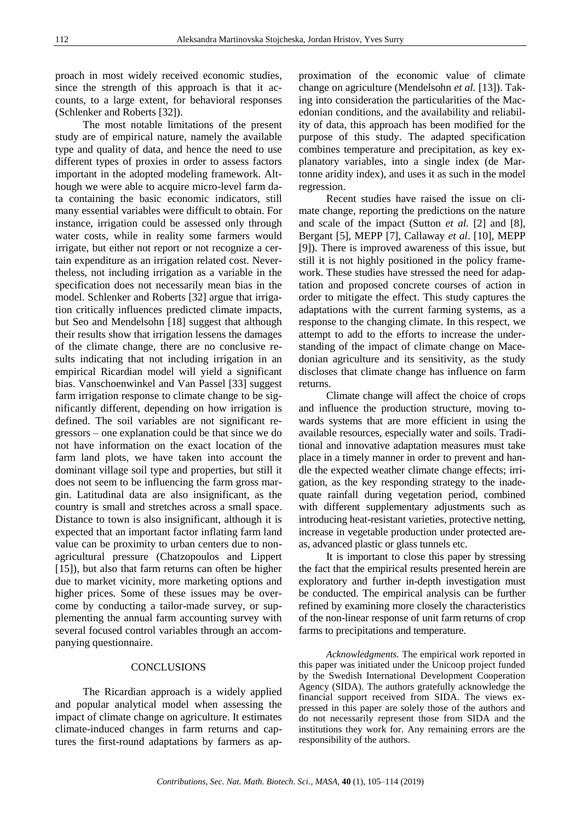proach in most widely received economic studies, since the strength of this approach is that it accounts, to a large extent, for behavioral responses (Schlenker and Roberts [32]).

The most notable limitations of the present study are of empirical nature, namely the available type and quality of data, and hence the need to use different types of proxies in order to assess factors important in the adopted modeling framework. Although we were able to acquire micro-level farm data containing the basic economic indicators, still many essential variables were difficult to obtain. For instance, irrigation could be assessed only through water costs, while in reality some farmers would irrigate, but either not report or not recognize a certain expenditure as an irrigation related cost. Nevertheless, not including irrigation as a variable in the specification does not necessarily mean bias in the model. Schlenker and Roberts [32] argue that irrigation critically influences predicted climate impacts, but Seo and Mendelsohn [18] suggest that although their results show that irrigation lessens the damages of the climate change, there are no conclusive results indicating that not including irrigation in an empirical Ricardian model will yield a significant bias. Vanschoenwinkel and Van Passel [33] suggest farm irrigation response to climate change to be significantly different, depending on how irrigation is defined. The soil variables are not significant regressors – one explanation could be that since we do not have information on the exact location of the farm land plots, we have taken into account the dominant village soil type and properties, but still it does not seem to be influencing the farm gross margin. Latitudinal data are also insignificant, as the country is small and stretches across a small space. Distance to town is also insignificant, although it is expected that an important factor inflating farm land value can be proximity to urban centers due to nonagricultural pressure (Chatzopoulos and Lippert [15]), but also that farm returns can often be higher due to market vicinity, more marketing options and higher prices. Some of these issues may be overcome by conducting a tailor-made survey, or supplementing the annual farm accounting survey with several focused control variables through an accompanying questionnaire.

## **CONCLUSIONS**

The Ricardian approach is a widely applied and popular analytical model when assessing the impact of climate change on agriculture. It estimates climate-induced changes in farm returns and captures the first-round adaptations by farmers as ap-

proximation of the economic value of climate change on agriculture (Mendelsohn *et al.* [13]). Taking into consideration the particularities of the Macedonian conditions, and the availability and reliability of data, this approach has been modified for the purpose of this study. The adapted specification combines temperature and precipitation, as key explanatory variables, into a single index (de Martonne aridity index), and uses it as such in the model regression.

Recent studies have raised the issue on climate change, reporting the predictions on the nature and scale of the impact (Sutton *et al.* [2] and [8], Bergant [5], MEPP [7], Callaway *et al*. [10], MEPP [9]). There is improved awareness of this issue, but still it is not highly positioned in the policy framework. These studies have stressed the need for adaptation and proposed concrete courses of action in order to mitigate the effect. This study captures the adaptations with the current farming systems, as a response to the changing climate. In this respect, we attempt to add to the efforts to increase the understanding of the impact of climate change on Macedonian agriculture and its sensitivity, as the study discloses that climate change has influence on farm returns.

Climate change will affect the choice of crops and influence the production structure, moving towards systems that are more efficient in using the available resources, especially water and soils. Traditional and innovative adaptation measures must take place in a timely manner in order to prevent and handle the expected weather climate change effects; irrigation, as the key responding strategy to the inadequate rainfall during vegetation period, combined with different supplementary adjustments such as introducing heat-resistant varieties, protective netting, increase in vegetable production under protected areas, advanced plastic or glass tunnels etc.

It is important to close this paper by stressing the fact that the empirical results presented herein are exploratory and further in-depth investigation must be conducted. The empirical analysis can be further refined by examining more closely the characteristics of the non-linear response of unit farm returns of crop farms to precipitations and temperature.

*Acknowledgments.* The empirical work reported in this paper was initiated under the Unicoop project funded by the Swedish International Development Cooperation Agency (SIDA). The authors gratefully acknowledge the financial support received from SIDA. The views expressed in this paper are solely those of the authors and do not necessarily represent those from SIDA and the institutions they work for. Any remaining errors are the responsibility of the authors.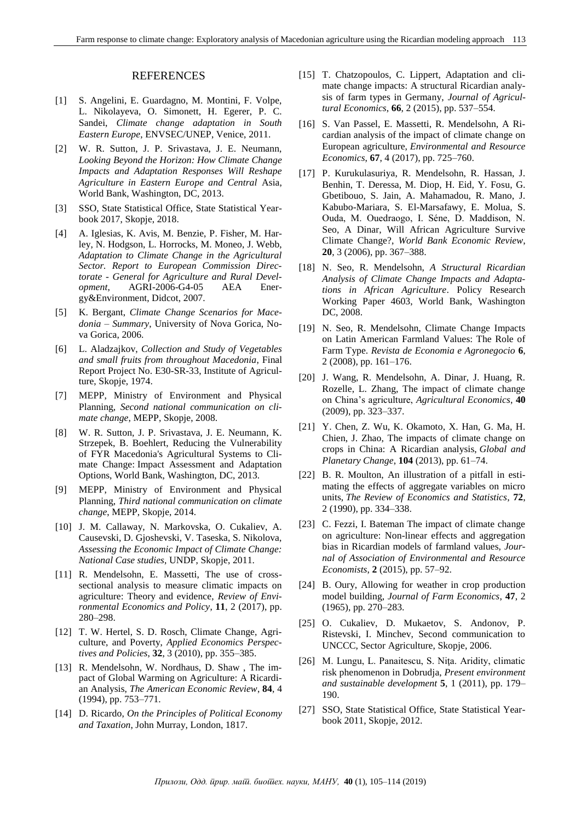#### REFERENCES

- [1] S. Angelini, E. Guardagno, M. Montini, F. Volpe, L. Nikolayeva, O. Simonett, H. Egerer, P. C. Sandei, *Climate change adaptation in South Eastern Europe*, ENVSEC/UNEP, Venice, 2011.
- [2] W. R. Sutton, J. P. Srivastava, J. E. Neumann, *Looking Beyond the Horizon: How Climate Change Impacts and Adaptation Responses Will Reshape Agriculture in Eastern Europe and Central* Asia, World Bank, Washington, DC, 2013.
- [3] SSO, State Statistical Office, State Statistical Yearbook 2017, Skopje, 2018.
- [4] A. Iglesias, K. Avis, M. Benzie, P. Fisher, M. Harley, N. Hodgson, L. Horrocks, M. Moneo, J. Webb, *Adaptation to Climate Change in the Agricultural Sector. Report to European Commission Directorate - General for Agriculture and Rural Development*, AGRI-2006-G4-05 AEA Energy&Environment, Didcot, 2007.
- [5] K. Bergant, *Climate Change Scenarios for Macedonia – Summary*, University of Nova Gorica, Nova Gorica, 2006.
- [6] L. Aladzajkov, *Collection and Study of Vegetables and small fruits from throughout Macedonia*, Final Report Project No. E30-SR-33, Institute of Agriculture, Skopje, 1974.
- [7] MEPP, Ministry of Environment and Physical Planning, *Second national communication on climate change*, MEPP, Skopje, 2008.
- [8] W. R. Sutton, J. P. Srivastava, J. E. Neumann, K. Strzepek, B. Boehlert, Reducing the Vulnerability of FYR Macedonia's Agricultural Systems to Climate Change: Impact Assessment and Adaptation Options, World Bank, Washington, DC, 2013.
- [9] MEPP, Ministry of Environment and Physical Planning, *Third national communication on climate change*, MEPP, Skopje, 2014.
- [10] [J. M. Callaway, N](http://orbit.dtu.dk/en/persons/john-m-callaway(790a073f-6b7e-44fd-a132-53700c77bc56).html). Markovska, O. Cukaliev, A. Causevski, D. Gjoshevski, V. Taseska, S. Nikolova, *[Assessing the Economic Impact of Climate Change:](http://orbit.dtu.dk/en/publications/assessing-the-economic-impact-of-climate-change--national-case-studies(21b4e455-704a-473f-966d-13c87cf70a1b).html)  [National Case studies](http://orbit.dtu.dk/en/publications/assessing-the-economic-impact-of-climate-change--national-case-studies(21b4e455-704a-473f-966d-13c87cf70a1b).html)*, UNDP, Skopje, 2011.
- [11] R. Mendelsohn, E. Massetti, The use of crosssectional analysis to measure climatic impacts on agriculture: Theory and evidence, *Review of Environmental Economics and Policy*, **11**, 2 (2017), pp. 280–298.
- [12] T. W. Hertel, S. D. Rosch, Climate Change, Agriculture, and Poverty, *Applied Economics Perspectives and Policies*, **32**, 3 (2010), pp. 355–385.
- [13] R. Mendelsohn, W. Nordhaus, D. Shaw, The impact of Global Warming on Agriculture: A Ricardian Analysis, *The American Economic Review*, **84**, 4 (1994), pp. 753–771.
- [14] D. Ricardo, *On the Principles of Political Economy and Taxation*, John Murray, London, 1817.
- [15] T. Chatzopoulos, C. Lippert, Adaptation and climate change impacts: A structural Ricardian analysis of farm types in Germany, *Journal of Agricultural Economics*, **66**, 2 (2015), pp. 537–554.
- [16] S. Van Passel, E. Massetti, R. Mendelsohn, A Ricardian analysis of the impact of climate change on European agriculture, *Environmental and Resource Economics*, **67**, 4 (2017), pp. 725–760.
- [17] P. Kurukulasuriya, R. Mendelsohn, R. Hassan, J. Benhin, T. Deressa, M. Diop, H. Eid, Y. Fosu, G. Gbetibouo, S. Jain, A. Mahamadou, R. Mano, J. Kabubo-Mariara, S. El-Marsafawy, E. Molua, S. Ouda, M. Ouedraogo, I. Séne, D. Maddison, N. Seo, A Dinar, Will African Agriculture Survive Climate Change?, *World Bank Economic Review*, **20**, 3 (2006), pp. 367–388.
- [18] N. Seo, R. Mendelsohn, *A Structural Ricardian Analysis of Climate Change Impacts and Adaptations in African Agriculture*. Policy Research Working Paper 4603, World Bank, Washington DC, 2008.
- [19] N. Seo, R. Mendelsohn, Climate Change Impacts on Latin American Farmland Values: The Role of Farm Type. *Revista de Economia e Agronegocio* **6**, 2 (2008), pp. 161–176.
- [20] J. Wang, R. Mendelsohn, A. Dinar, J. Huang, R. Rozelle, L. Zhang, The impact of climate change on China's agriculture, *Agricultural Economics*, **40** (2009), pp. 323–337.
- [21] Y. Chen, Z. Wu, K. Okamoto, X. Han, G. Ma, H. Chien, J. Zhao, The impacts of climate change on crops in China: A Ricardian analysis, *Global and Planetary Change*, **104** (2013), pp. 61–74.
- [22] B. R. Moulton, An illustration of a pitfall in estimating the effects of aggregate variables on micro units, *The Review of Economics and Statistics*, **72**, 2 (1990), pp. 334–338.
- [23] C. Fezzi, I. Bateman The impact of climate change on agriculture: Non-linear effects and aggregation bias in Ricardian models of farmland values, *Journal of Association of Environmental and Resource Economists*, **2** (2015), pp. 57–92.
- [24] B. Oury, Allowing for weather in crop production model building, *Journal of Farm Economics*, **47**, 2 (1965), pp. 270–283.
- [25] O. Cukaliev, D. Mukaetov, S. Andonov, P. Ristevski, I. Minchev, Second communication to UNCCC, Sector Agriculture, Skopje, 2006.
- [26] M. Lungu, L. Panaitescu, S. Niţa. Aridity, climatic risk phenomenon in Dobrudja, *Present environment and sustainable development* **5**, 1 (2011), pp. 179– 190.
- [27] SSO, State Statistical Office, State Statistical Yearbook 2011, Skopje, 2012.